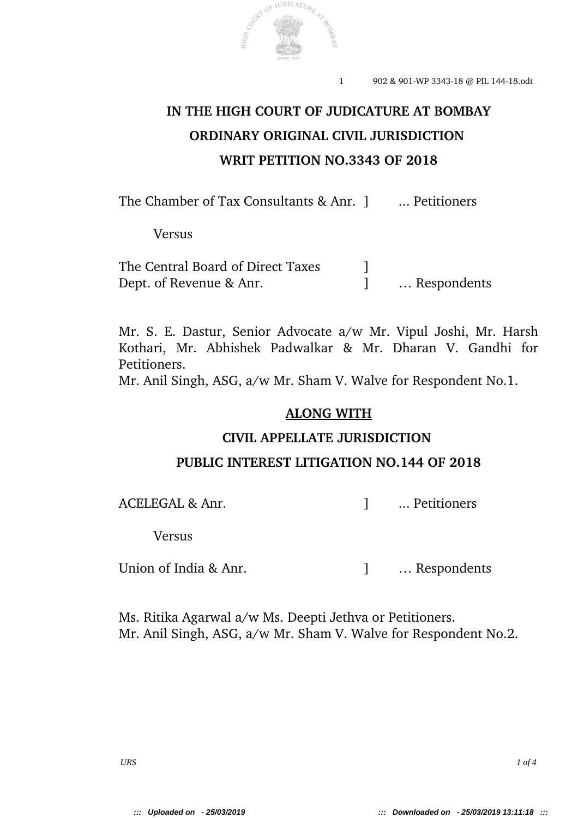

# **IN THE HIGH COURT OF JUDICATURE AT BOMBAY ORDINARY ORIGINAL CIVIL JURISDICTION WRIT PETITION NO.3343 OF 2018**

The Chamber of Tax Consultants & Anr. 1 ... Petitioners

Versus

The Central Board of Direct Taxes 1 Dept. of Revenue & Anr. ] … Respondents

Mr. S. E. Dastur, Senior Advocate a/w Mr. Vipul Joshi, Mr. Harsh Kothari, Mr. Abhishek Padwalkar & Mr. Dharan V. Gandhi for Petitioners.

Mr. Anil Singh, ASG, a/w Mr. Sham V. Walve for Respondent No.1.

### **ALONG WITH**

#### **CIVIL APPELLATE JURISDICTION**

#### **PUBLIC INTEREST LITIGATION NO.144 OF 2018**

ACELEGAL & Anr.  $\qquad \qquad$  Petitioners

Versus

Union of India & Anr. <br> 1 … Respondents

Ms. Ritika Agarwal a/w Ms. Deepti Jethva or Petitioners. Mr. Anil Singh, ASG, a/w Mr. Sham V. Walve for Respondent No.2.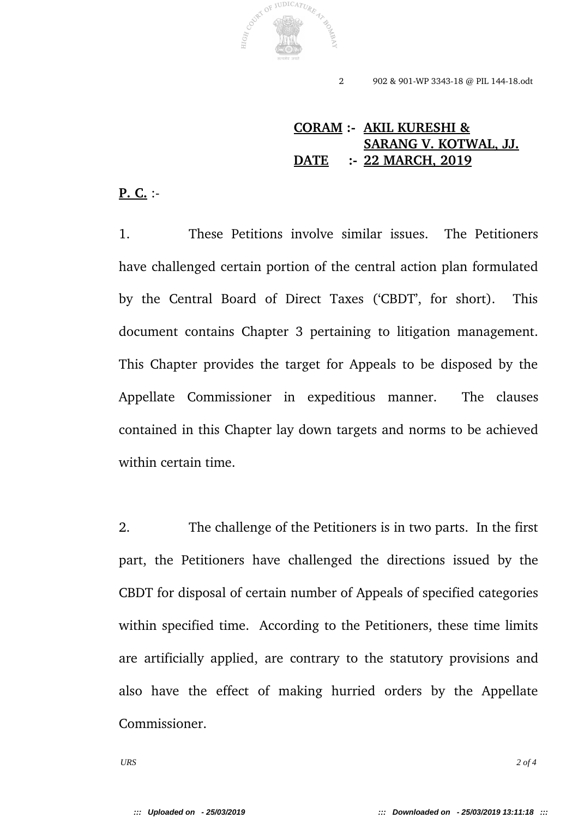

# **CORAM : AKIL KURESHI & SARANG V. KOTWAL, JJ. DATE : 22 MARCH, 2019**

#### **P. C.** :

1. These Petitions involve similar issues. The Petitioners have challenged certain portion of the central action plan formulated by the Central Board of Direct Taxes ('CBDT', for short). This document contains Chapter 3 pertaining to litigation management. This Chapter provides the target for Appeals to be disposed by the Appellate Commissioner in expeditious manner. The clauses contained in this Chapter lay down targets and norms to be achieved within certain time.

2. The challenge of the Petitioners is in two parts. In the first part, the Petitioners have challenged the directions issued by the CBDT for disposal of certain number of Appeals of specified categories within specified time. According to the Petitioners, these time limits are artificially applied, are contrary to the statutory provisions and also have the effect of making hurried orders by the Appellate Commissioner.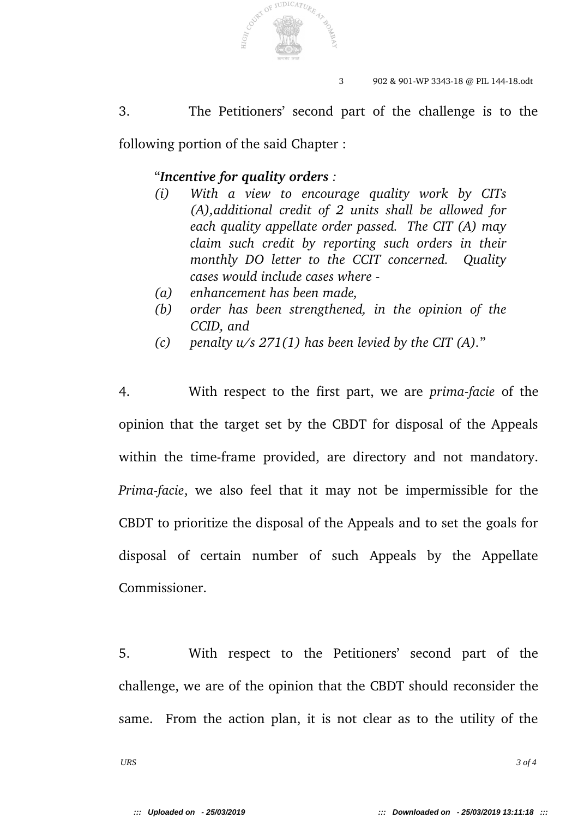

3. The Petitioners' second part of the challenge is to the

following portion of the said Chapter :

## "*Incentive for quality orders :*

- *(i) With a view to encourage quality work by CITs (A),additional credit of 2 units shall be allowed for each quality appellate order passed. The CIT (A) may claim such credit by reporting such orders in their monthly DO letter to the CCIT concerned. Quality cases would include cases where*
- *(a) enhancement has been made,*
- *(b) order has been strengthened, in the opinion of the CCID, and*
- *(c) penalty u/s 271(1) has been levied by the CIT (A).*"

4. With respect to the first part, we are *primafacie* of the opinion that the target set by the CBDT for disposal of the Appeals within the time-frame provided, are directory and not mandatory. *Prima-facie*, we also feel that it may not be impermissible for the CBDT to prioritize the disposal of the Appeals and to set the goals for disposal of certain number of such Appeals by the Appellate Commissioner.

5. With respect to the Petitioners' second part of the challenge, we are of the opinion that the CBDT should reconsider the same. From the action plan, it is not clear as to the utility of the